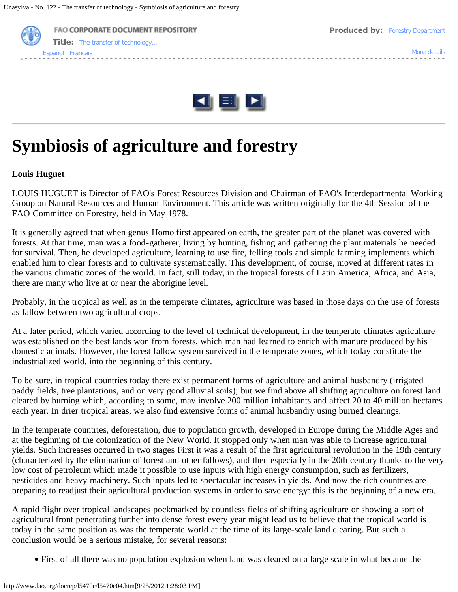



# **Symbiosis of agriculture and forestry**

#### **Louis Huguet**

LOUIS HUGUET is Director of FAO's Forest Resources Division and Chairman of FAO's Interdepartmental Working Group on Natural Resources and Human Environment. This article was written originally for the 4th Session of the FAO Committee on Forestry, held in May 1978.

It is generally agreed that when genus Homo first appeared on earth, the greater part of the planet was covered with forests. At that time, man was a food-gatherer, living by hunting, fishing and gathering the plant materials he needed for survival. Then, he developed agriculture, learning to use fire, felling tools and simple farming implements which enabled him to clear forests and to cultivate systematically. This development, of course, moved at different rates in the various climatic zones of the world. In fact, still today, in the tropical forests of Latin America, Africa, and Asia, there are many who live at or near the aborigine level.

Probably, in the tropical as well as in the temperate climates, agriculture was based in those days on the use of forests as fallow between two agricultural crops.

At a later period, which varied according to the level of technical development, in the temperate climates agriculture was established on the best lands won from forests, which man had learned to enrich with manure produced by his domestic animals. However, the forest fallow system survived in the temperate zones, which today constitute the industrialized world, into the beginning of this century.

To be sure, in tropical countries today there exist permanent forms of agriculture and animal husbandry (irrigated paddy fields, tree plantations, and on very good alluvial soils); but we find above all shifting agriculture on forest land cleared by burning which, according to some, may involve 200 million inhabitants and affect 20 to 40 million hectares each year. In drier tropical areas, we also find extensive forms of animal husbandry using burned clearings.

In the temperate countries, deforestation, due to population growth, developed in Europe during the Middle Ages and at the beginning of the colonization of the New World. It stopped only when man was able to increase agricultural yields. Such increases occurred in two stages First it was a result of the first agricultural revolution in the 19th century (characterized by the elimination of forest and other fallows), and then especially in the 20th century thanks to the very low cost of petroleum which made it possible to use inputs with high energy consumption, such as fertilizers, pesticides and heavy machinery. Such inputs led to spectacular increases in yields. And now the rich countries are preparing to readjust their agricultural production systems in order to save energy: this is the beginning of a new era.

A rapid flight over tropical landscapes pockmarked by countless fields of shifting agriculture or showing a sort of agricultural front penetrating further into dense forest every year might lead us to believe that the tropical world is today in the same position as was the temperate world at the time of its large-scale land clearing. But such a conclusion would be a serious mistake, for several reasons:

· First of all there was no population explosion when land was cleared on a large scale in what became the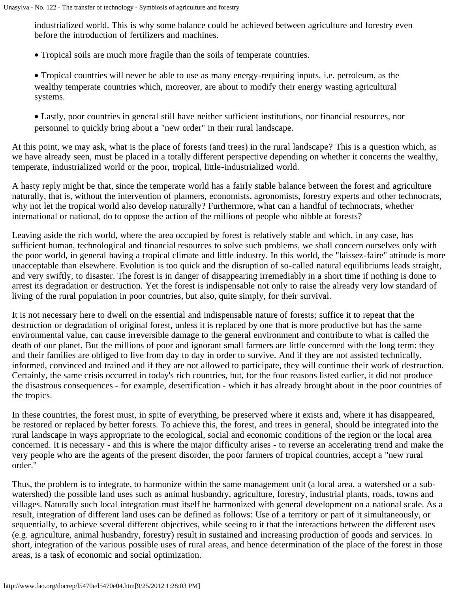industrialized world. This is why some balance could be achieved between agriculture and forestry even before the introduction of fertilizers and machines.

· Tropical soils are much more fragile than the soils of temperate countries.

· Tropical countries will never be able to use as many energy-requiring inputs, i.e. petroleum, as the wealthy temperate countries which, moreover, are about to modify their energy wasting agricultural systems.

· Lastly, poor countries in general still have neither sufficient institutions, nor financial resources, nor personnel to quickly bring about a "new order" in their rural landscape.

At this point, we may ask, what is the place of forests (and trees) in the rural landscape? This is a question which, as we have already seen, must be placed in a totally different perspective depending on whether it concerns the wealthy, temperate, industrialized world or the poor, tropical, little-industrialized world.

A hasty reply might be that, since the temperate world has a fairly stable balance between the forest and agriculture naturally, that is, without the intervention of planners, economists, agronomists, forestry experts and other technocrats, why not let the tropical world also develop naturally? Furthermore, what can a handful of technocrats, whether international or national, do to oppose the action of the millions of people who nibble at forests?

Leaving aside the rich world, where the area occupied by forest is relatively stable and which, in any case, has sufficient human, technological and financial resources to solve such problems, we shall concern ourselves only with the poor world, in general having a tropical climate and little industry. In this world, the "laissez-faire" attitude is more unacceptable than elsewhere. Evolution is too quick and the disruption of so-called natural equilibriums leads straight, and very swiftly, to disaster. The forest is in danger of disappearing irremediably in a short time if nothing is done to arrest its degradation or destruction. Yet the forest is indispensable not only to raise the already very low standard of living of the rural population in poor countries, but also, quite simply, for their survival.

It is not necessary here to dwell on the essential and indispensable nature of forests; suffice it to repeat that the destruction or degradation of original forest, unless it is replaced by one that is more productive but has the same environmental value, can cause irreversible damage to the general environment and contribute to what is called the death of our planet. But the millions of poor and ignorant small farmers are little concerned with the long term: they and their families are obliged to live from day to day in order to survive. And if they are not assisted technically, informed, convinced and trained and if they are not allowed to participate, they will continue their work of destruction. Certainly, the same crisis occurred in today's rich countries, but, for the four reasons listed earlier, it did not produce the disastrous consequences - for example, desertification - which it has already brought about in the poor countries of the tropics.

In these countries, the forest must, in spite of everything, be preserved where it exists and, where it has disappeared, be restored or replaced by better forests. To achieve this, the forest, and trees in general, should be integrated into the rural landscape in ways appropriate to the ecological, social and economic conditions of the region or the local area concerned. It is necessary - and this is where the major difficulty arises - to reverse an accelerating trend and make the very people who are the agents of the present disorder, the poor farmers of tropical countries, accept a "new rural order."

Thus, the problem is to integrate, to harmonize within the same management unit (a local area, a watershed or a subwatershed) the possible land uses such as animal husbandry, agriculture, forestry, industrial plants, roads, towns and villages. Naturally such local integration must itself be harmonized with general development on a national scale. As a result, integration of different land uses can be defined as follows: Use of a territory or part of it simultaneously, or sequentially, to achieve several different objectives, while seeing to it that the interactions between the different uses (e.g. agriculture, animal husbandry, forestry) result in sustained and increasing production of goods and services. In short, integration of the various possible uses of rural areas, and hence determination of the place of the forest in those areas, is a task of economic and social optimization.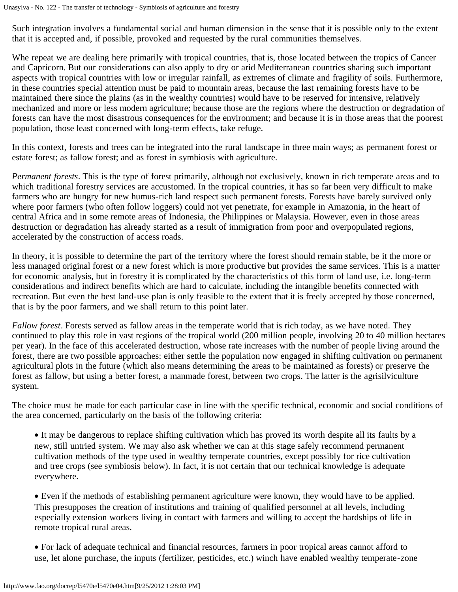Such integration involves a fundamental social and human dimension in the sense that it is possible only to the extent that it is accepted and, if possible, provoked and requested by the rural communities themselves.

Whe repeat we are dealing here primarily with tropical countries, that is, those located between the tropics of Cancer and Capricorn. But our considerations can also apply to dry or arid Mediterranean countries sharing such important aspects with tropical countries with low or irregular rainfall, as extremes of climate and fragility of soils. Furthermore, in these countries special attention must be paid to mountain areas, because the last remaining forests have to be maintained there since the plains (as in the wealthy countries) would have to be reserved for intensive, relatively mechanized and more or less modern agriculture; because those are the regions where the destruction or degradation of forests can have the most disastrous consequences for the environment; and because it is in those areas that the poorest population, those least concerned with long-term effects, take refuge.

In this context, forests and trees can be integrated into the rural landscape in three main ways; as permanent forest or estate forest; as fallow forest; and as forest in symbiosis with agriculture.

*Permanent forests*. This is the type of forest primarily, although not exclusively, known in rich temperate areas and to which traditional forestry services are accustomed. In the tropical countries, it has so far been very difficult to make farmers who are hungry for new humus-rich land respect such permanent forests. Forests have barely survived only where poor farmers (who often follow loggers) could not yet penetrate, for example in Amazonia, in the heart of central Africa and in some remote areas of Indonesia, the Philippines or Malaysia. However, even in those areas destruction or degradation has already started as a result of immigration from poor and overpopulated regions, accelerated by the construction of access roads.

In theory, it is possible to determine the part of the territory where the forest should remain stable, be it the more or less managed original forest or a new forest which is more productive but provides the same services. This is a matter for economic analysis, but in forestry it is complicated by the characteristics of this form of land use, i.e. long-term considerations and indirect benefits which are hard to calculate, including the intangible benefits connected with recreation. But even the best land-use plan is only feasible to the extent that it is freely accepted by those concerned, that is by the poor farmers, and we shall return to this point later.

*Fallow forest*. Forests served as fallow areas in the temperate world that is rich today, as we have noted. They continued to play this role in vast regions of the tropical world (200 million people, involving 20 to 40 million hectares per year). In the face of this accelerated destruction, whose rate increases with the number of people living around the forest, there are two possible approaches: either settle the population now engaged in shifting cultivation on permanent agricultural plots in the future (which also means determining the areas to be maintained as forests) or preserve the forest as fallow, but using a better forest, a manmade forest, between two crops. The latter is the agrisilviculture system.

The choice must be made for each particular case in line with the specific technical, economic and social conditions of the area concerned, particularly on the basis of the following criteria:

· It may be dangerous to replace shifting cultivation which has proved its worth despite all its faults by a new, still untried system. We may also ask whether we can at this stage safely recommend permanent cultivation methods of the type used in wealthy temperate countries, except possibly for rice cultivation and tree crops (see symbiosis below). In fact, it is not certain that our technical knowledge is adequate everywhere.

· Even if the methods of establishing permanent agriculture were known, they would have to be applied. This presupposes the creation of institutions and training of qualified personnel at all levels, including especially extension workers living in contact with farmers and willing to accept the hardships of life in remote tropical rural areas.

· For lack of adequate technical and financial resources, farmers in poor tropical areas cannot afford to use, let alone purchase, the inputs (fertilizer, pesticides, etc.) winch have enabled wealthy temperate-zone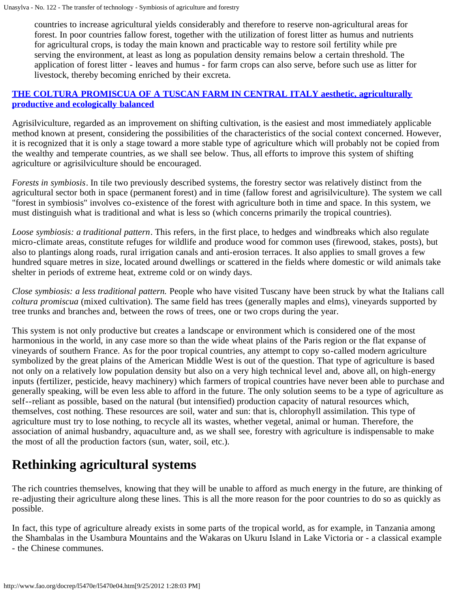countries to increase agricultural yields considerably and therefore to reserve non-agricultural areas for forest. In poor countries fallow forest, together with the utilization of forest litter as humus and nutrients for agricultural crops, is today the main known and practicable way to restore soil fertility while pre serving the environment, at least as long as population density remains below a certain threshold. The application of forest litter - leaves and humus - for farm crops can also serve, before such use as litter for livestock, thereby becoming enriched by their excreta.

#### **[THE COLTURA PROMISCUA OF A TUSCAN FARM IN CENTRAL ITALY aesthetic, agriculturally](http://www.fao.org/docrep/l5470e/l5470e05.jpg) [productive and ecologically balanced](http://www.fao.org/docrep/l5470e/l5470e05.jpg)**

Agrisilviculture, regarded as an improvement on shifting cultivation, is the easiest and most immediately applicable method known at present, considering the possibilities of the characteristics of the social context concerned. However, it is recognized that it is only a stage toward a more stable type of agriculture which will probably not be copied from the wealthy and temperate countries, as we shall see below. Thus, all efforts to improve this system of shifting agriculture or agrisilviculture should be encouraged.

*Forests in symbiosis*. In tile two previously described systems, the forestry sector was relatively distinct from the agricultural sector both in space (permanent forest) and in time (fallow forest and agrisilviculture). The system we call "forest in symbiosis" involves co-existence of the forest with agriculture both in time and space. In this system, we must distinguish what is traditional and what is less so (which concerns primarily the tropical countries).

*Loose symbiosis: a traditional pattern*. This refers, in the first place, to hedges and windbreaks which also regulate micro-climate areas, constitute refuges for wildlife and produce wood for common uses (firewood, stakes, posts), but also to plantings along roads, rural irrigation canals and anti-erosion terraces. It also applies to small groves a few hundred square metres in size, located around dwellings or scattered in the fields where domestic or wild animals take shelter in periods of extreme heat, extreme cold or on windy days.

*Close symbiosis: a less traditional pattern.* People who have visited Tuscany have been struck by what the Italians call *coltura promiscua* (mixed cultivation). The same field has trees (generally maples and elms), vineyards supported by tree trunks and branches and, between the rows of trees, one or two crops during the year.

This system is not only productive but creates a landscape or environment which is considered one of the most harmonious in the world, in any case more so than the wide wheat plains of the Paris region or the flat expanse of vineyards of southern France. As for the poor tropical countries, any attempt to copy so-called modern agriculture symbolized by the great plains of the American Middle West is out of the question. That type of agriculture is based not only on a relatively low population density but also on a very high technical level and, above all, on high-energy inputs (fertilizer, pesticide, heavy machinery) which farmers of tropical countries have never been able to purchase and generally speaking, will be even less able to afford in the future. The only solution seems to be a type of agriculture as self--reliant as possible, based on the natural (but intensified) production capacity of natural resources which, themselves, cost nothing. These resources are soil, water and sun: that is, chlorophyll assimilation. This type of agriculture must try to lose nothing, to recycle all its wastes, whether vegetal, animal or human. Therefore, the association of animal husbandry, aquaculture and, as we shall see, forestry with agriculture is indispensable to make the most of all the production factors (sun, water, soil, etc.).

## **Rethinking agricultural systems**

The rich countries themselves, knowing that they will be unable to afford as much energy in the future, are thinking of re-adjusting their agriculture along these lines. This is all the more reason for the poor countries to do so as quickly as possible.

In fact, this type of agriculture already exists in some parts of the tropical world, as for example, in Tanzania among the Shambalas in the Usambura Mountains and the Wakaras on Ukuru Island in Lake Victoria or - a classical example - the Chinese communes.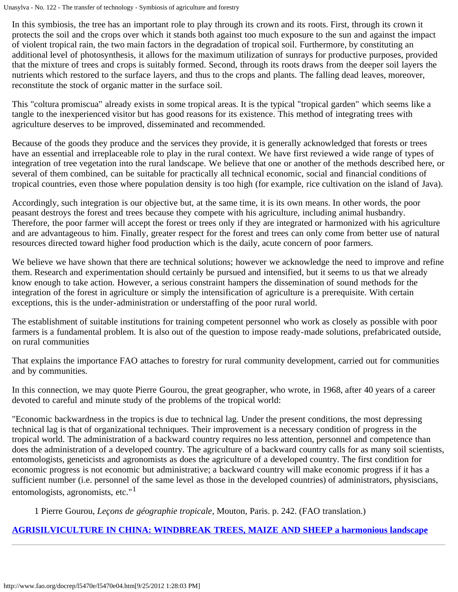In this symbiosis, the tree has an important role to play through its crown and its roots. First, through its crown it protects the soil and the crops over which it stands both against too much exposure to the sun and against the impact of violent tropical rain, the two main factors in the degradation of tropical soil. Furthermore, by constituting an additional level of photosynthesis, it allows for the maximum utilization of sunrays for productive purposes, provided that the mixture of trees and crops is suitably formed. Second, through its roots draws from the deeper soil layers the nutrients which restored to the surface layers, and thus to the crops and plants. The falling dead leaves, moreover, reconstitute the stock of organic matter in the surface soil.

This "coltura promiscua" already exists in some tropical areas. It is the typical "tropical garden" which seems like a tangle to the inexperienced visitor but has good reasons for its existence. This method of integrating trees with agriculture deserves to be improved, disseminated and recommended.

Because of the goods they produce and the services they provide, it is generally acknowledged that forests or trees have an essential and irreplaceable role to play in the rural context. We have first reviewed a wide range of types of integration of tree vegetation into the rural landscape. We believe that one or another of the methods described here, or several of them combined, can be suitable for practically all technical economic, social and financial conditions of tropical countries, even those where population density is too high (for example, rice cultivation on the island of Java).

Accordingly, such integration is our objective but, at the same time, it is its own means. In other words, the poor peasant destroys the forest and trees because they compete with his agriculture, including animal husbandry. Therefore, the poor farmer will accept the forest or trees only if they are integrated or harmonized with his agriculture and are advantageous to him. Finally, greater respect for the forest and trees can only come from better use of natural resources directed toward higher food production which is the daily, acute concern of poor farmers.

We believe we have shown that there are technical solutions; however we acknowledge the need to improve and refine them. Research and experimentation should certainly be pursued and intensified, but it seems to us that we already know enough to take action. However, a serious constraint hampers the dissemination of sound methods for the integration of the forest in agriculture or simply the intensification of agriculture is a prerequisite. With certain exceptions, this is the under-administration or understaffing of the poor rural world.

The establishment of suitable institutions for training competent personnel who work as closely as possible with poor farmers is a fundamental problem. It is also out of the question to impose ready-made solutions, prefabricated outside, on rural communities

That explains the importance FAO attaches to forestry for rural community development, carried out for communities and by communities.

In this connection, we may quote Pierre Gourou, the great geographer, who wrote, in 1968, after 40 years of a career devoted to careful and minute study of the problems of the tropical world:

"Economic backwardness in the tropics is due to technical lag. Under the present conditions, the most depressing technical lag is that of organizational techniques. Their improvement is a necessary condition of progress in the tropical world. The administration of a backward country requires no less attention, personnel and competence than does the administration of a developed country. The agriculture of a backward country calls for as many soil scientists, entomologists, geneticists and agronomists as does the agriculture of a developed country. The first condition for economic progress is not economic but administrative; a backward country will make economic progress if it has a sufficient number (i.e. personnel of the same level as those in the developed countries) of administrators, physiscians, entomologists, agronomists, etc."<sup>1</sup>

1 Pierre Gourou, *Leçons de géographie tropicale*, Mouton, Paris. p. 242. (FAO translation.)

### **[AGRISILVICULTURE IN CHINA: WINDBREAK TREES, MAIZE AND SHEEP a harmonious landscape](http://www.fao.org/docrep/l5470e/l5470e06.jpg)**